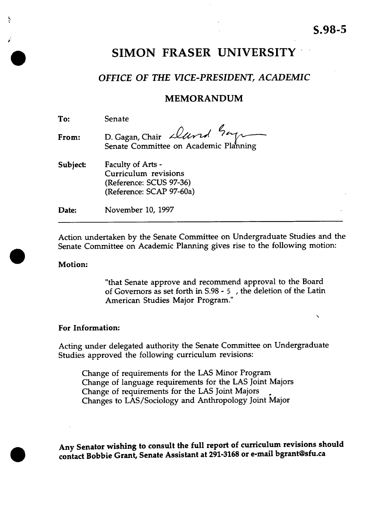$\overline{\phantom{0}}$ 

# **SIMON FRASER UNIVERSITY**

## *OFFICE OF THE VICE-PRESIDENT, ACADEMIC*

## MEMORANDUM

| To:             | Senate                                                                                           |
|-----------------|--------------------------------------------------------------------------------------------------|
| From:           | D. Gagan, Chair <i>Dund</i> 2ap                                                                  |
| <b>Subject:</b> | Faculty of Arts -<br>Curriculum revisions<br>(Reference: SCUS 97-36)<br>(Reference: SCAP 97-60a) |
| Date:           | November 10, 1997                                                                                |

Action undertaken by the Senate Committee on Undergraduate Studies and the • Senate Committee on Academic Planning gives rise to the following motion:

#### **Motion:**

**I**

ř

**•**

"that Senate approve and recommend approval to the Board of Governors as set forth in S.98 - 5 , the deletion of the Latin American Studies Major Program."

### **For Information:**

Acting under delegated authority the Senate Committee on Undergraduate Studies approved the following curriculum revisions:

Change of requirements for the LAS Minor Program Change of language requirements for the LAS Joint Majors Change of requirements for the LAS Joint Majors Changes to LAS/Sociology and Anthropology Joint Major

**• Any Senator wishing to consult the full report of curriculum revisions should contact Bobbie Grant, Senate Assistant at 291-3168 or e-mail bgrant@sfu.ca**